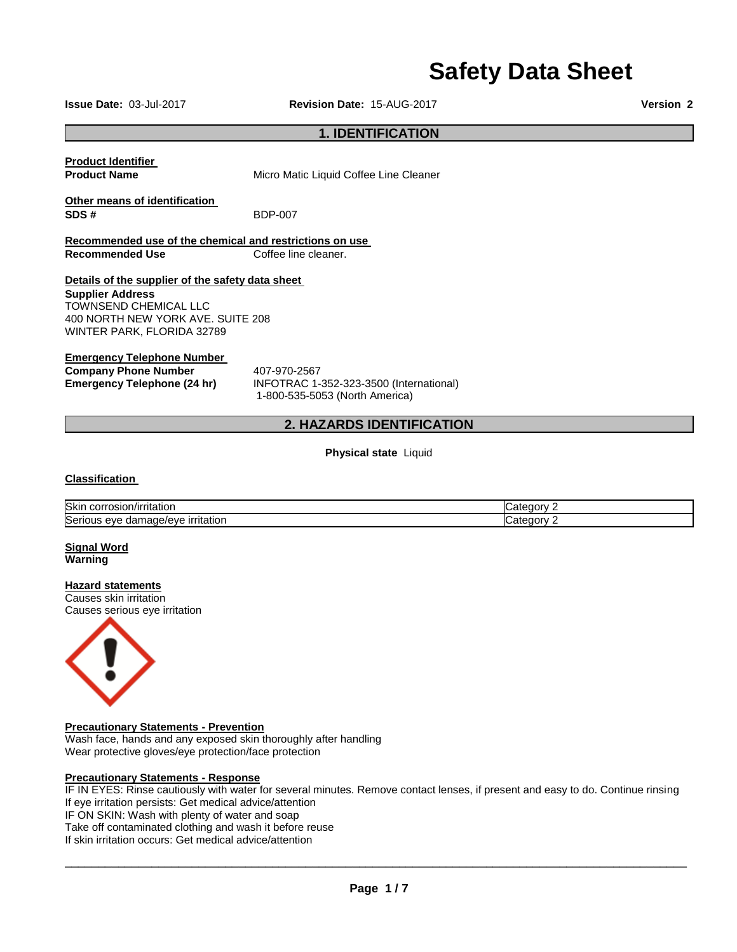# **Safety Data Sheet**

**Issue Date:** 03-Jul-2017 **Revision Date:** 15-AUG-2017 **Version 2**

#### **1. IDENTIFICATION**

**Product Identifier** 

**Product Name Micro Matic Liquid Coffee Line Cleaner** 

**Other means of identification SDS #** BDP-007

**Recommended use of the chemical and restrictions on use Recommended Use Coffee line cleaner.** 

#### **Details of the supplier of the safety data sheet**

**Supplier Address** TOWNSEND CHEMICAL LLC 400 NORTH NEW YORK AVE. SUITE 208 WINTER PARK, FLORIDA 32789

#### **Emergency Telephone Number**

**Company Phone Number 407-970-2567** 

**Emergency Telephone (24 hr)** INFOTRAC 1-352-323-3500 (International) 1-800-535-5053 (North America)

#### **2. HAZARDS IDENTIFICATION**

**Physical state** Liquid

#### **Classification**

| Skin<br>corros<br>∨ırrıtation<br>. ƏSIONILLE                              | ∴ategory ′ |
|---------------------------------------------------------------------------|------------|
| <b>Serious</b><br><u>irritation</u><br>$     -$<br>mage/eve<br>eve<br>aar | ∴ategory∶  |

#### **Signal Word Warning**

#### **Hazard statements**

Causes skin irritation Causes serious eye irritation



#### **Precautionary Statements - Prevention**

Wash face, hands and any exposed skin thoroughly after handling Wear protective gloves/eye protection/face protection

#### **Precautionary Statements - Response**

IF IN EYES: Rinse cautiously with water for several minutes. Remove contact lenses, if present and easy to do. Continue rinsing If eye irritation persists: Get medical advice/attention IF ON SKIN: Wash with plenty of water and soap Take off contaminated clothing and wash it before reuse If skin irritation occurs: Get medical advice/attention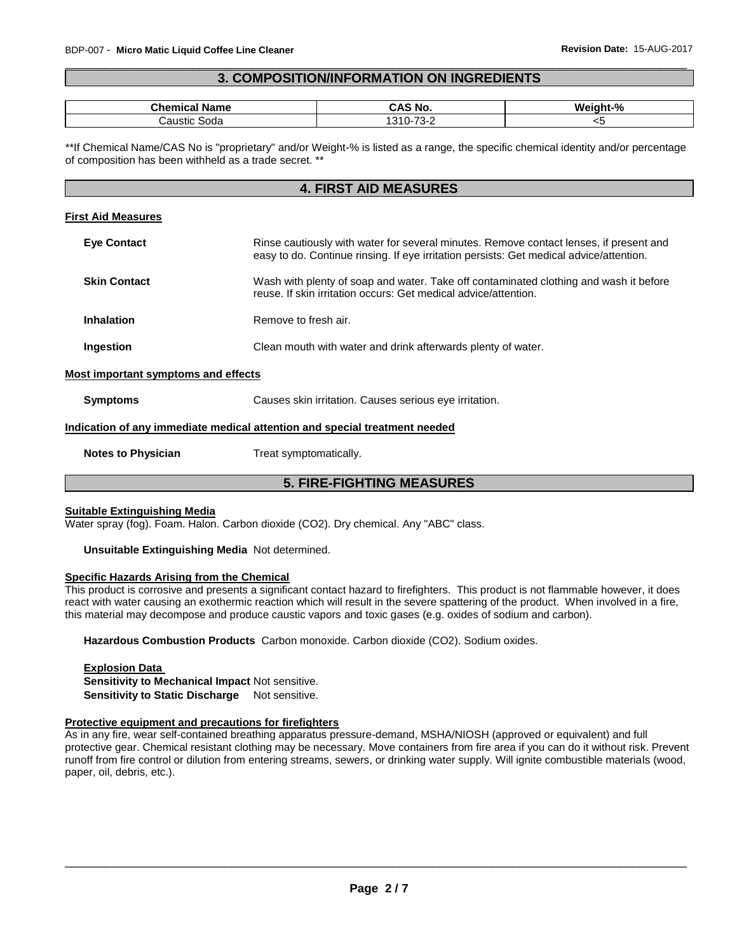#### \_\_\_\_\_\_\_\_\_\_\_\_\_\_\_\_\_\_\_\_\_\_\_\_\_\_\_\_\_\_\_\_\_\_\_\_\_\_\_\_\_\_\_\_\_\_\_\_\_\_\_\_\_\_\_\_\_\_\_\_\_\_\_\_\_\_\_\_\_\_\_\_\_\_\_\_\_\_\_\_\_\_\_\_\_\_\_\_\_\_\_\_\_ **3. COMPOSITION/INFORMATION ON INGREDIENTS**

| $\sim$<br>⊶nem<br>Name       | No        | $\mathbf{a}$<br>Weight. |
|------------------------------|-----------|-------------------------|
| :austic<br>Soda<br>- - - - - | .<br>____ | י<br>$\sim$             |

\*\*If Chemical Name/CAS No is "proprietary" and/or Weight-% is listed as a range, the specific chemical identity and/or percentage of composition has been withheld as a trade secret. \*\*

#### **4. FIRST AID MEASURES**

#### **First Aid Measures**

| <b>Eye Contact</b>                  | Rinse cautiously with water for several minutes. Remove contact lenses, if present and<br>easy to do. Continue rinsing. If eye irritation persists: Get medical advice/attention. |
|-------------------------------------|-----------------------------------------------------------------------------------------------------------------------------------------------------------------------------------|
| <b>Skin Contact</b>                 | Wash with plenty of soap and water. Take off contaminated clothing and wash it before<br>reuse. If skin irritation occurs: Get medical advice/attention.                          |
| Inhalation                          | Remove to fresh air.                                                                                                                                                              |
| Ingestion                           | Clean mouth with water and drink afterwards plenty of water.                                                                                                                      |
| Most important symptoms and effects |                                                                                                                                                                                   |
| <b>Symptoms</b>                     | Causes skin irritation. Causes serious eve irritation.                                                                                                                            |

## **Indication of any immediate medical attention and special treatment needed**

**Notes to Physician**  Treat symptomatically.

### **5. FIRE-FIGHTING MEASURES**

#### **Suitable Extinguishing Media**

Water spray (fog). Foam. Halon. Carbon dioxide (CO2). Dry chemical. Any "ABC" class.

**Unsuitable Extinguishing Media** Not determined.

#### **Specific Hazards Arising from the Chemical**

This product is corrosive and presents a significant contact hazard to firefighters. This product is not flammable however, it does react with water causing an exothermic reaction which will result in the severe spattering of the product. When involved in a fire, this material may decompose and produce caustic vapors and toxic gases (e.g. oxides of sodium and carbon).

**Hazardous Combustion Products** Carbon monoxide. Carbon dioxide (CO2). Sodium oxides.

**Explosion Data Sensitivity to Mechanical Impact** Not sensitive. **Sensitivity to Static Discharge** Not sensitive.

#### **Protective equipment and precautions for firefighters**

As in any fire, wear self-contained breathing apparatus pressure-demand, MSHA/NIOSH (approved or equivalent) and full protective gear. Chemical resistant clothing may be necessary. Move containers from fire area if you can do it without risk. Prevent runoff from fire control or dilution from entering streams, sewers, or drinking water supply. Will ignite combustible materials (wood, paper, oil, debris, etc.).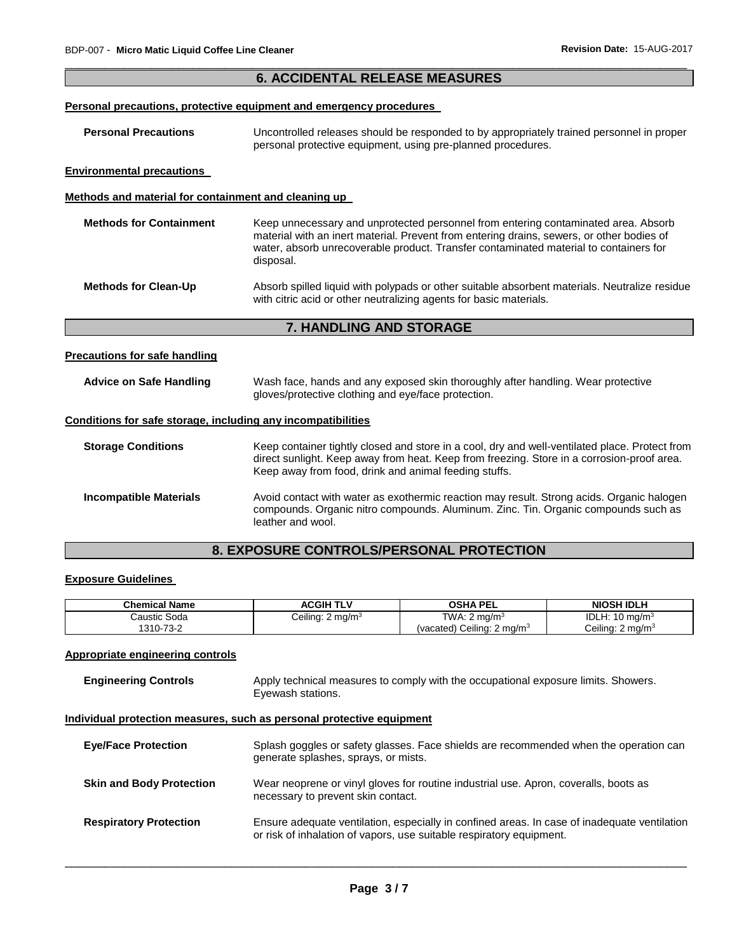|                                                              | <b>6. ACCIDENTAL RELEASE MEASURES</b>                                                                                                                                                                                                                                                 |
|--------------------------------------------------------------|---------------------------------------------------------------------------------------------------------------------------------------------------------------------------------------------------------------------------------------------------------------------------------------|
|                                                              | Personal precautions, protective equipment and emergency procedures                                                                                                                                                                                                                   |
| <b>Personal Precautions</b>                                  | Uncontrolled releases should be responded to by appropriately trained personnel in proper<br>personal protective equipment, using pre-planned procedures.                                                                                                                             |
| <b>Environmental precautions</b>                             |                                                                                                                                                                                                                                                                                       |
| Methods and material for containment and cleaning up         |                                                                                                                                                                                                                                                                                       |
| <b>Methods for Containment</b>                               | Keep unnecessary and unprotected personnel from entering contaminated area. Absorb<br>material with an inert material. Prevent from entering drains, sewers, or other bodies of<br>water, absorb unrecoverable product. Transfer contaminated material to containers for<br>disposal. |
| <b>Methods for Clean-Up</b>                                  | Absorb spilled liquid with polypads or other suitable absorbent materials. Neutralize residue<br>with citric acid or other neutralizing agents for basic materials.                                                                                                                   |
|                                                              | 7. HANDLING AND STORAGE                                                                                                                                                                                                                                                               |
| <b>Precautions for safe handling</b>                         |                                                                                                                                                                                                                                                                                       |
| <b>Advice on Safe Handling</b>                               | Wash face, hands and any exposed skin thoroughly after handling. Wear protective<br>gloves/protective clothing and eye/face protection.                                                                                                                                               |
| Conditions for safe storage, including any incompatibilities |                                                                                                                                                                                                                                                                                       |
| <b>Storage Conditions</b>                                    | Keep container tightly closed and store in a cool, dry and well-ventilated place. Protect from<br>direct sunlight. Keep away from heat. Keep from freezing. Store in a corrosion-proof area.<br>Keep away from food, drink and animal feeding stuffs.                                 |

| <b>Incompatible Materials</b> | Avoid contact with water as exothermic reaction may result. Strong acids. Organic halogen<br>compounds. Organic nitro compounds. Aluminum. Zinc. Tin. Organic compounds such as<br>leather and wool. |
|-------------------------------|------------------------------------------------------------------------------------------------------------------------------------------------------------------------------------------------------|

# **8. EXPOSURE CONTROLS/PERSONAL PROTECTION**

# **Exposure Guidelines**

| <b>Chemical Name</b> | <b>ACGIH TLV</b>     | OSHA PEL                              | <b>NIOSH IDLH</b>           |
|----------------------|----------------------|---------------------------------------|-----------------------------|
| Caustic Soda         | Ceiling: 2 mg/m $^3$ | TWA: 2 ma/m $^3$                      | IDLH: $10 \text{ mg/m}^3$   |
| 1310-73-2            |                      | (vacated) Ceiling: $2 \text{ mq/m}^3$ | Ceiling: $2 \text{ ma/m}^3$ |

# **Appropriate engineering controls**

| <b>Engineering Controls</b>     | Apply technical measures to comply with the occupational exposure limits. Showers.<br>Eyewash stations.                                                              |
|---------------------------------|----------------------------------------------------------------------------------------------------------------------------------------------------------------------|
|                                 | Individual protection measures, such as personal protective equipment                                                                                                |
| <b>Eve/Face Protection</b>      | Splash goggles or safety glasses. Face shields are recommended when the operation can<br>generate splashes, sprays, or mists.                                        |
| <b>Skin and Body Protection</b> | Wear neoprene or vinyl gloves for routine industrial use. Apron, coveralls, boots as<br>necessary to prevent skin contact.                                           |
| <b>Respiratory Protection</b>   | Ensure adequate ventilation, especially in confined areas. In case of inadequate ventilation<br>or risk of inhalation of vapors, use suitable respiratory equipment. |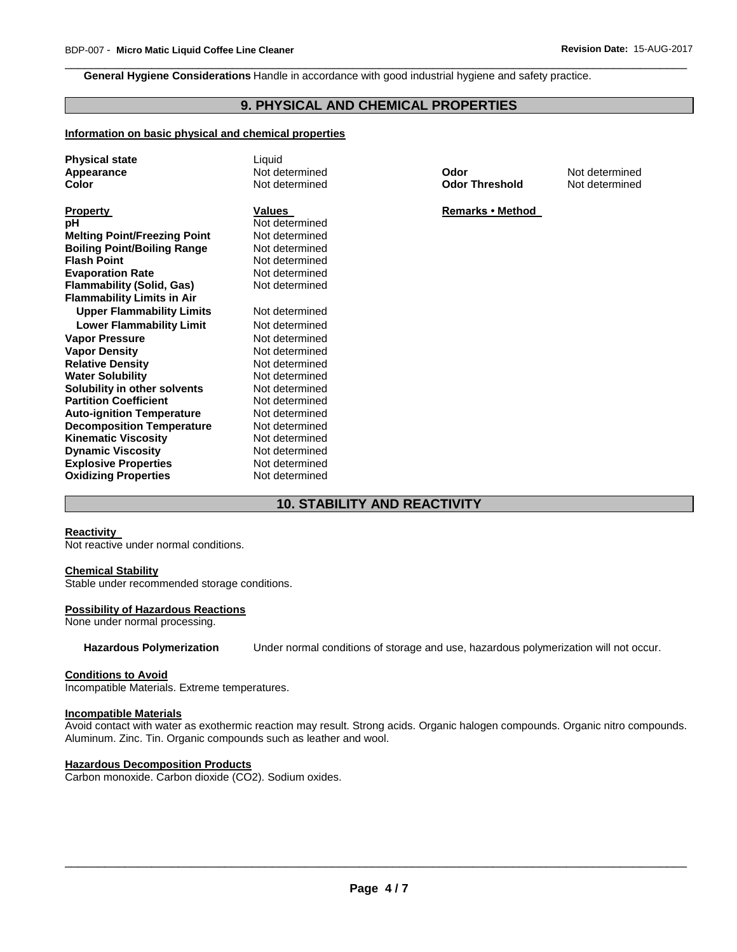**General Hygiene Considerations** Handle in accordance with good industrial hygiene and safety practice.

# **9. PHYSICAL AND CHEMICAL PROPERTIES**

\_\_\_\_\_\_\_\_\_\_\_\_\_\_\_\_\_\_\_\_\_\_\_\_\_\_\_\_\_\_\_\_\_\_\_\_\_\_\_\_\_\_\_\_\_\_\_\_\_\_\_\_\_\_\_\_\_\_\_\_\_\_\_\_\_\_\_\_\_\_\_\_\_\_\_\_\_\_\_\_\_\_\_\_\_\_\_\_\_\_\_\_\_

#### **Information on basic physical and chemical properties**

| <b>Physical state</b><br>Appearance<br>Color             | Liquid<br>Not determined<br>Not determined | Odor<br><b>Odor Threshold</b> | Not determined<br>Not determined |
|----------------------------------------------------------|--------------------------------------------|-------------------------------|----------------------------------|
| Property                                                 | <b>Values</b>                              | <b>Remarks • Method</b>       |                                  |
| рH                                                       | Not determined                             |                               |                                  |
|                                                          | Not determined                             |                               |                                  |
| <b>Melting Point/Freezing Point</b>                      | Not determined                             |                               |                                  |
| <b>Boiling Point/Boiling Range</b><br><b>Flash Point</b> |                                            |                               |                                  |
|                                                          | Not determined                             |                               |                                  |
| <b>Evaporation Rate</b>                                  | Not determined                             |                               |                                  |
| Flammability (Solid, Gas)                                | Not determined                             |                               |                                  |
| <b>Flammability Limits in Air</b>                        |                                            |                               |                                  |
| <b>Upper Flammability Limits</b>                         | Not determined                             |                               |                                  |
| <b>Lower Flammability Limit</b>                          | Not determined                             |                               |                                  |
| Vapor Pressure                                           | Not determined                             |                               |                                  |
| Vapor Density                                            | Not determined                             |                               |                                  |
| <b>Relative Density</b>                                  | Not determined                             |                               |                                  |
| <b>Water Solubility</b>                                  | Not determined                             |                               |                                  |
| Solubility in other solvents                             | Not determined                             |                               |                                  |
| <b>Partition Coefficient</b>                             | Not determined                             |                               |                                  |
| <b>Auto-ignition Temperature</b>                         | Not determined                             |                               |                                  |
| <b>Decomposition Temperature</b>                         | Not determined                             |                               |                                  |
| <b>Kinematic Viscosity</b>                               | Not determined                             |                               |                                  |
| <b>Dynamic Viscosity</b>                                 | Not determined                             |                               |                                  |
| <b>Explosive Properties</b>                              | Not determined                             |                               |                                  |
| <b>Oxidizing Properties</b>                              | Not determined                             |                               |                                  |
|                                                          |                                            |                               |                                  |

# **10. STABILITY AND REACTIVITY**

#### **Reactivity**

Not reactive under normal conditions.

#### **Chemical Stability**

Stable under recommended storage conditions.

#### **Possibility of Hazardous Reactions**

None under normal processing.

**Hazardous Polymerization** Under normal conditions of storage and use, hazardous polymerization will not occur.

#### **Conditions to Avoid**

Incompatible Materials. Extreme temperatures.

#### **Incompatible Materials**

Avoid contact with water as exothermic reaction may result. Strong acids. Organic halogen compounds. Organic nitro compounds. Aluminum. Zinc. Tin. Organic compounds such as leather and wool.

#### **Hazardous Decomposition Products**

Carbon monoxide. Carbon dioxide (CO2). Sodium oxides.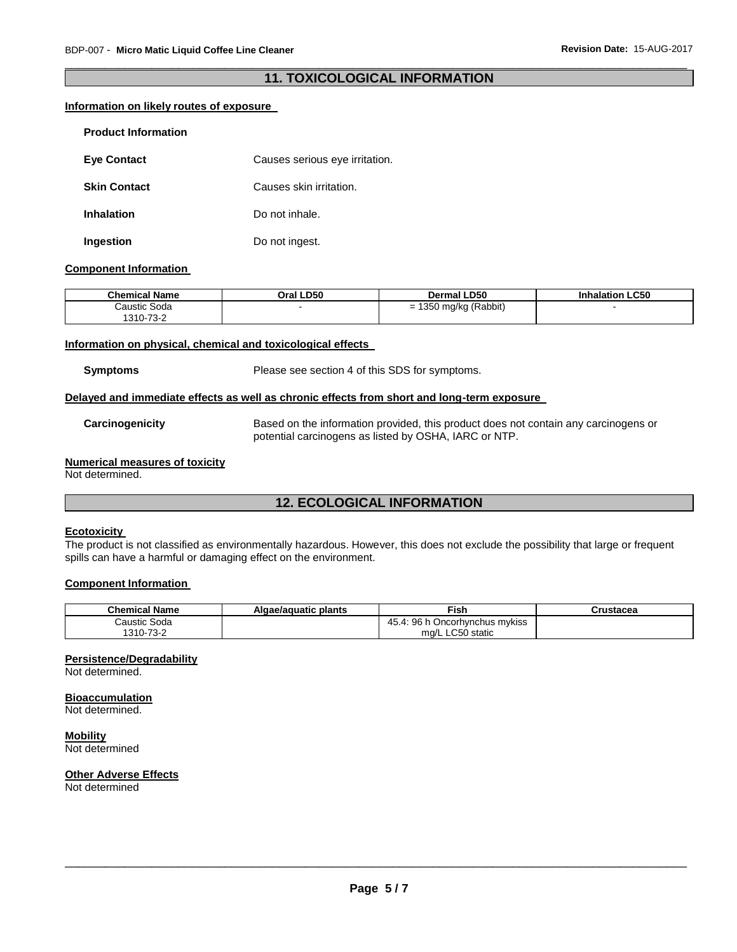#### \_\_\_\_\_\_\_\_\_\_\_\_\_\_\_\_\_\_\_\_\_\_\_\_\_\_\_\_\_\_\_\_\_\_\_\_\_\_\_\_\_\_\_\_\_\_\_\_\_\_\_\_\_\_\_\_\_\_\_\_\_\_\_\_\_\_\_\_\_\_\_\_\_\_\_\_\_\_\_\_\_\_\_\_\_\_\_\_\_\_\_\_\_ **11. TOXICOLOGICAL INFORMATION**

#### **Information on likely routes of exposure**

| <b>Product Information</b> |                                |
|----------------------------|--------------------------------|
| <b>Eye Contact</b>         | Causes serious eye irritation. |
| <b>Skin Contact</b>        | Causes skin irritation.        |
| <b>Inhalation</b>          | Do not inhale.                 |
| Ingestion                  | Do not ingest.                 |

#### **Component Information**

| <b>Chemical Name</b> | Oral LD50 | <b>Dermal LD50</b>            | <b>LC50</b><br><b>Inhalation</b> |
|----------------------|-----------|-------------------------------|----------------------------------|
| Caustic Soda         |           | 1350 mg/kg (Rabbit)<br>-<br>- |                                  |
| 1310-73-2            |           |                               |                                  |

#### **Information on physical, chemical and toxicological effects**

**Symptoms** Please see section 4 of this SDS for symptoms.

#### **Delayed and immediate effects as well as chronic effects from short and long-term exposure**

**Carcinogenicity** Based on the information provided, this product does not contain any carcinogens or potential carcinogens as listed by OSHA, IARC or NTP.

#### **Numerical measures of toxicity**

Not determined.

# **12. ECOLOGICAL INFORMATION**

#### **Ecotoxicity**

The product is not classified as environmentally hazardous. However, this does not exclude the possibility that large or frequent spills can have a harmful or damaging effect on the environment.

#### **Component Information**

| <b>Chemical Name</b> | Algae/aguatic plants | Fish                                                | Crustacea |
|----------------------|----------------------|-----------------------------------------------------|-----------|
| Caustic Soda         |                      | റഭ<br>⊃ncorh∨nchus m∨kiss<br>4 <sup>L</sup><br>. טו |           |
| 1310-73-2            |                      | ∟C50 static<br>ma/L                                 |           |

#### **Persistence/Degradability**

Not determined.

#### **Bioaccumulation** Not determined.

**Mobility** Not determined

#### **Other Adverse Effects**

Not determined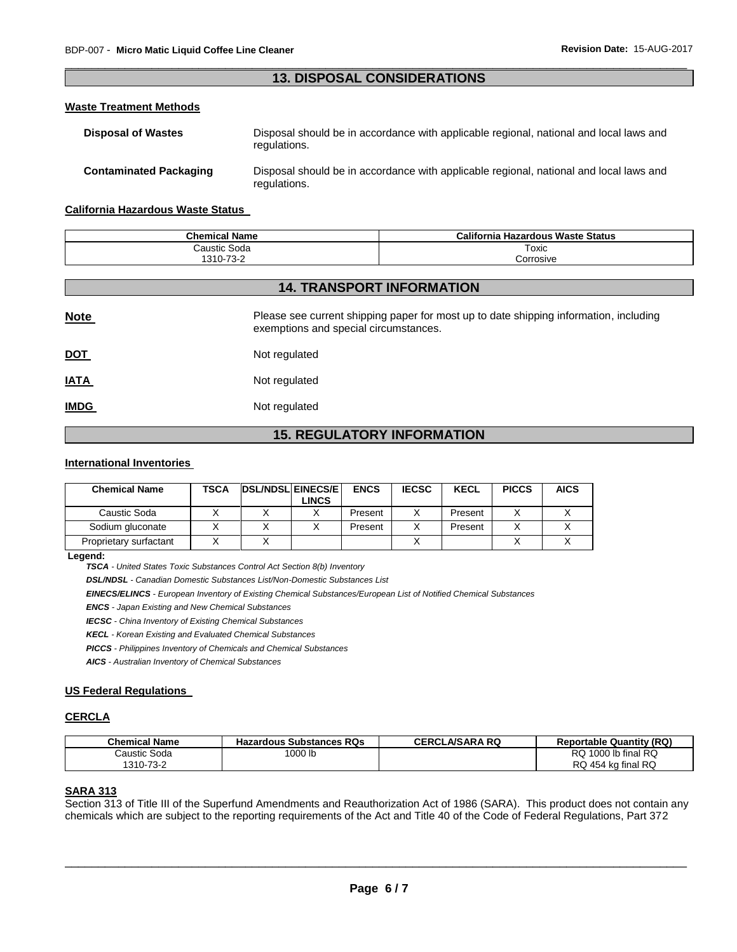#### \_\_\_\_\_\_\_\_\_\_\_\_\_\_\_\_\_\_\_\_\_\_\_\_\_\_\_\_\_\_\_\_\_\_\_\_\_\_\_\_\_\_\_\_\_\_\_\_\_\_\_\_\_\_\_\_\_\_\_\_\_\_\_\_\_\_\_\_\_\_\_\_\_\_\_\_\_\_\_\_\_\_\_\_\_\_\_\_\_\_\_\_\_ **13. DISPOSAL CONSIDERATIONS**

#### **Waste Treatment Methods**

| <b>Disposal of Wastes</b>     | Disposal should be in accordance with applicable regional, national and local laws and<br>regulations. |
|-------------------------------|--------------------------------------------------------------------------------------------------------|
| <b>Contaminated Packaging</b> | Disposal should be in accordance with applicable regional, national and local laws and<br>regulations. |

#### **California Hazardous Waste Status**

| <b>Chemical Name</b> | California<br>เ Hazardous Waste Status |
|----------------------|----------------------------------------|
| Caustic Soda         | Toxic                                  |
| 1310-73-2<br>ے۔د⊬    | ≿orrosive                              |

# **14. TRANSPORT INFORMATION**

| <b>Note</b> | Please see current shipping paper for most up to date shipping information, including<br>exemptions and special circumstances. |
|-------------|--------------------------------------------------------------------------------------------------------------------------------|
| <u>DOT</u>  | Not regulated                                                                                                                  |
| <b>IATA</b> | Not regulated                                                                                                                  |
| <b>IMDG</b> | Not regulated                                                                                                                  |

# **15. REGULATORY INFORMATION**

#### **International Inventories**

| <b>Chemical Name</b>   | <b>TSCA</b> | <b>IDSL/NDSL EINECS/E</b> | <b>LINCS</b> | <b>ENCS</b> | <b>IECSC</b> | <b>KECL</b> | <b>PICCS</b> | <b>AICS</b> |
|------------------------|-------------|---------------------------|--------------|-------------|--------------|-------------|--------------|-------------|
| Caustic Soda           |             |                           |              | Present     |              | Present     |              |             |
| Sodium gluconate       |             |                           |              | Present     |              | Present     |              |             |
| Proprietary surfactant |             |                           |              |             |              |             |              |             |

#### **Legend:**

*TSCA - United States Toxic Substances Control Act Section 8(b) Inventory* 

*DSL/NDSL - Canadian Domestic Substances List/Non-Domestic Substances List* 

*EINECS/ELINCS - European Inventory of Existing Chemical Substances/European List of Notified Chemical Substances* 

*ENCS - Japan Existing and New Chemical Substances* 

*IECSC - China Inventory of Existing Chemical Substances* 

*KECL - Korean Existing and Evaluated Chemical Substances* 

*PICCS - Philippines Inventory of Chemicals and Chemical Substances* 

*AICS - Australian Inventory of Chemical Substances* 

#### **US Federal Regulations**

#### **CERCLA**

| <b>Chemical Name</b> | <b>Hazardous Substances RQs</b> | <b>CERCLA/SARA RQ</b> | <b>Reportable Quantity (RQ)</b> |
|----------------------|---------------------------------|-----------------------|---------------------------------|
| Caustic Soda         | '000 lb                         |                       | RQ 1000 lb final RQ             |
| 1310-73-2            |                                 |                       | RQ 454 kg final RQ              |

#### **SARA 313**

Section 313 of Title III of the Superfund Amendments and Reauthorization Act of 1986 (SARA). This product does not contain any chemicals which are subject to the reporting requirements of the Act and Title 40 of the Code of Federal Regulations, Part 372